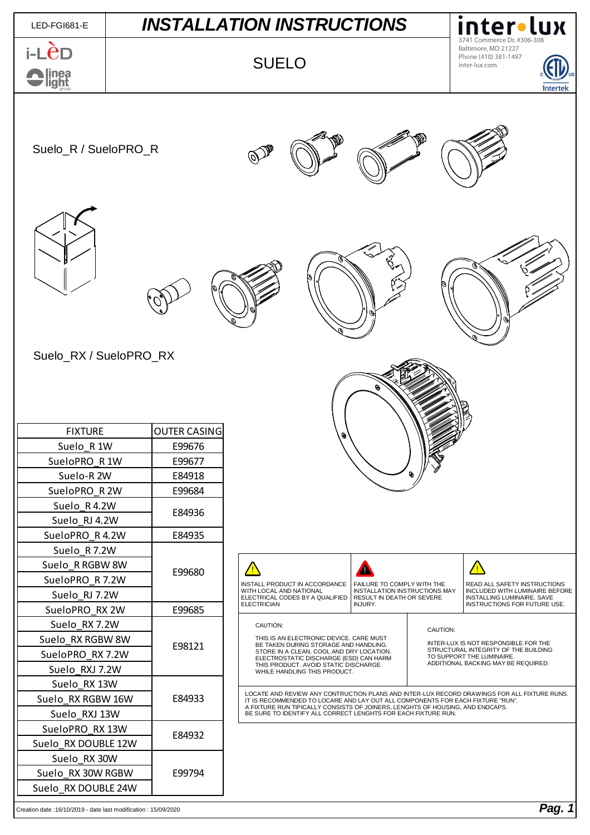| LED-FGI681-E                                                   | <b>INSTALLATION INSTRUCTIONS</b> |                     |                                                                                                                                                                                                                                                                                                                                 |  | inter•lux |                                                                                              |                                                                                       |                 |  |
|----------------------------------------------------------------|----------------------------------|---------------------|---------------------------------------------------------------------------------------------------------------------------------------------------------------------------------------------------------------------------------------------------------------------------------------------------------------------------------|--|-----------|----------------------------------------------------------------------------------------------|---------------------------------------------------------------------------------------|-----------------|--|
| i-LCD<br>linea<br>light                                        |                                  | <b>SUELO</b>        |                                                                                                                                                                                                                                                                                                                                 |  |           |                                                                                              | Commerce Dr. #306-308<br>Baltimore, MD 21227<br>Phone (410) 381-1497<br>inter-lux.com | <b>Intertek</b> |  |
| Suelo_R / SueloPRO_R                                           |                                  |                     |                                                                                                                                                                                                                                                                                                                                 |  |           |                                                                                              |                                                                                       |                 |  |
|                                                                |                                  |                     |                                                                                                                                                                                                                                                                                                                                 |  |           |                                                                                              |                                                                                       |                 |  |
| Suelo_RX / SueloPRO_RX                                         |                                  |                     |                                                                                                                                                                                                                                                                                                                                 |  |           |                                                                                              |                                                                                       |                 |  |
| <b>FIXTURE</b>                                                 |                                  | <b>OUTER CASING</b> |                                                                                                                                                                                                                                                                                                                                 |  |           |                                                                                              |                                                                                       |                 |  |
| Suelo_R 1W                                                     |                                  | E99676              |                                                                                                                                                                                                                                                                                                                                 |  |           |                                                                                              |                                                                                       |                 |  |
| SueloPRO_R 1W                                                  |                                  | E99677              |                                                                                                                                                                                                                                                                                                                                 |  |           |                                                                                              |                                                                                       |                 |  |
| Suelo-R 2W                                                     |                                  | E84918              |                                                                                                                                                                                                                                                                                                                                 |  |           |                                                                                              |                                                                                       |                 |  |
| SueloPRO R 2W                                                  |                                  | E99684              |                                                                                                                                                                                                                                                                                                                                 |  |           |                                                                                              |                                                                                       |                 |  |
| Suelo R4.2W                                                    |                                  | E84936              |                                                                                                                                                                                                                                                                                                                                 |  |           |                                                                                              |                                                                                       |                 |  |
| Suelo RJ 4.2W                                                  |                                  |                     |                                                                                                                                                                                                                                                                                                                                 |  |           |                                                                                              |                                                                                       |                 |  |
| SueloPRO R 4.2W                                                |                                  | E84935              |                                                                                                                                                                                                                                                                                                                                 |  |           |                                                                                              |                                                                                       |                 |  |
| Suelo R7.2W                                                    |                                  |                     |                                                                                                                                                                                                                                                                                                                                 |  |           |                                                                                              |                                                                                       |                 |  |
|                                                                | Suelo R RGBW 8W                  |                     | Λ<br>⁄ <mark>∆</mark><br>INSTALL PRODUCT IN ACCORDANCE<br>FAILURE TO COMPLY WITH THE                                                                                                                                                                                                                                            |  |           | <u>∕∖</u>                                                                                    |                                                                                       |                 |  |
| SueloPRO R 7.2W                                                |                                  | E99680              |                                                                                                                                                                                                                                                                                                                                 |  |           | READ ALL SAFETY INSTRUCTIONS                                                                 |                                                                                       |                 |  |
| Suelo RJ 7.2W                                                  |                                  |                     | WITH LOCAL AND NATIONAL<br>INSTALLATION INSTRUCTIONS MAY<br>ELECTRICAL CODES BY A QUALIFIED<br>RESULT IN DEATH OR SEVERE<br><b>ELECTRICIAN</b><br>INJURY.                                                                                                                                                                       |  |           | INCLUDED WITH LUMINAIRE BEFORE<br>INSTALLING LUMINAIRE. SAVE<br>INSTRUCTIONS FOR FUTURE USE. |                                                                                       |                 |  |
| SueloPRO RX 2W                                                 |                                  | E99685              |                                                                                                                                                                                                                                                                                                                                 |  |           |                                                                                              |                                                                                       |                 |  |
| Suelo RX 7.2W                                                  |                                  |                     | CAUTION:                                                                                                                                                                                                                                                                                                                        |  |           | CAUTION:                                                                                     |                                                                                       |                 |  |
| Suelo RX RGBW 8W                                               |                                  | E98121              | THIS IS AN ELECTRONIC DEVICE. CARE MUST<br>BE TAKEN DURING STORAGE AND HANDLING.<br>STORE IN A CLEAN, COOL AND DRY LOCATION.                                                                                                                                                                                                    |  |           | INTER-LUX IS NOT RESPONSIBLE FOR THE<br>STRUCTURAL INTEGRITY OF THE BUILDING                 |                                                                                       |                 |  |
| SueloPRO RX 7.2W                                               |                                  |                     | TO SUPPORT THE LUMINAIRE.<br>ELECTROSTATIC DISCHARGE (ESD) CAN HARM<br>ADDITIONAL BACKING MAY BE REQUIRED.<br>THIS PRODUCT. AVOID STATIC DISCHARGE                                                                                                                                                                              |  |           |                                                                                              |                                                                                       |                 |  |
| Suelo RXJ 7.2W                                                 |                                  |                     | WHILE HANDLING THIS PRODUCT.                                                                                                                                                                                                                                                                                                    |  |           |                                                                                              |                                                                                       |                 |  |
| Suelo_RX 13W                                                   | E84933                           |                     | LOCATE AND REVIEW ANY CONTRUCTION PLANS AND INTER-LUX RECORD DRAWINGS FOR ALL FIXTURE RUNS.<br>IT IS RECOMMENDED TO LOCARE AND LAY OUT ALL COMPONENTS FOR EACH FIXTURE "RUN".<br>A FIXTURE RUN TIPICALLY CONSISTS OF JOINERS, LENGHTS OF HOUSING, AND ENDCAPS.<br>BE SURE TO IDENTIFY ALL CORRECT LENGHTS FOR EACH FIXTURE RUN. |  |           |                                                                                              |                                                                                       |                 |  |
| Suelo RX RGBW 16W<br>Suelo RXJ 13W                             |                                  |                     |                                                                                                                                                                                                                                                                                                                                 |  |           |                                                                                              |                                                                                       |                 |  |
| SueloPRO RX 13W                                                |                                  |                     |                                                                                                                                                                                                                                                                                                                                 |  |           |                                                                                              |                                                                                       |                 |  |
| Suelo RX DOUBLE 12W                                            |                                  | E84932              |                                                                                                                                                                                                                                                                                                                                 |  |           |                                                                                              |                                                                                       |                 |  |
| Suelo RX 30W                                                   |                                  |                     |                                                                                                                                                                                                                                                                                                                                 |  |           |                                                                                              |                                                                                       |                 |  |
| Suelo RX 30W RGBW                                              |                                  | E99794              |                                                                                                                                                                                                                                                                                                                                 |  |           |                                                                                              |                                                                                       |                 |  |
| Suelo RX DOUBLE 24W                                            |                                  |                     |                                                                                                                                                                                                                                                                                                                                 |  |           |                                                                                              |                                                                                       |                 |  |
| Creation date: 16/10/2019 - date last modification: 15/09/2020 |                                  |                     |                                                                                                                                                                                                                                                                                                                                 |  |           |                                                                                              |                                                                                       | Pag. 1          |  |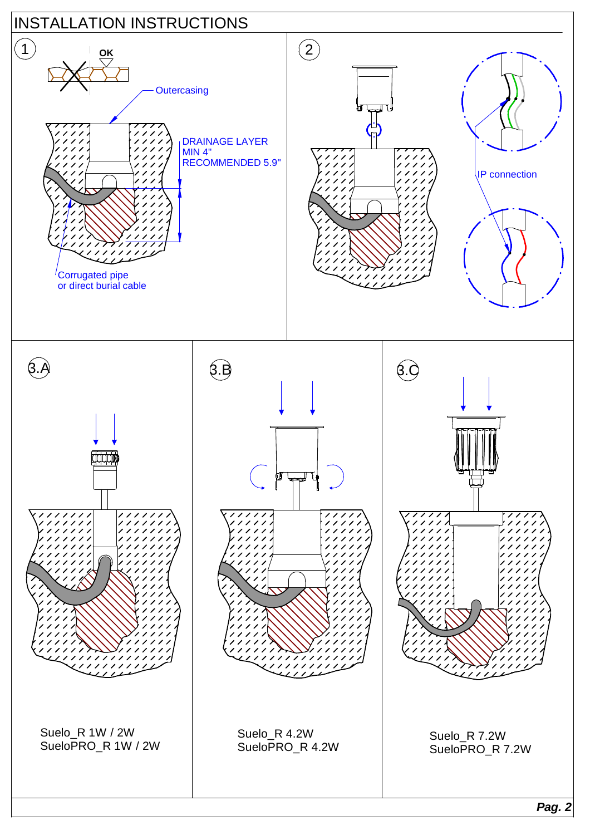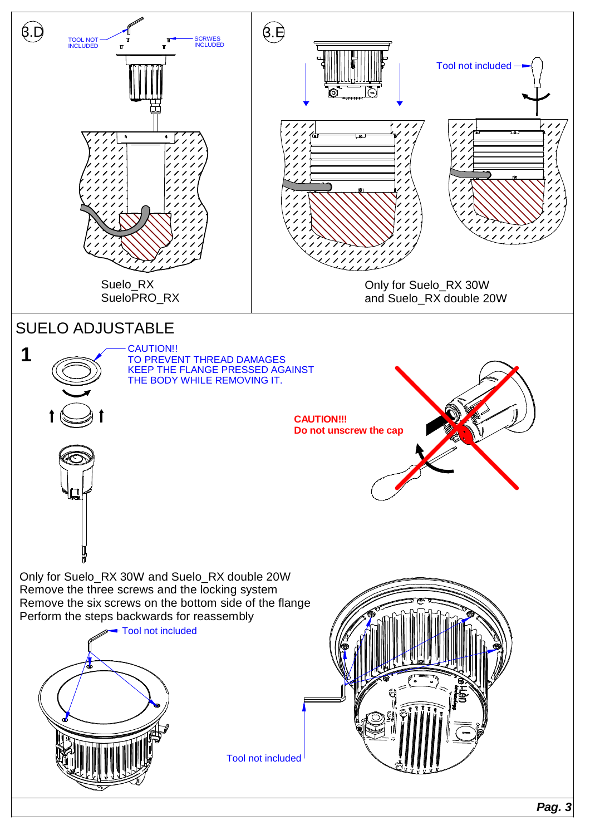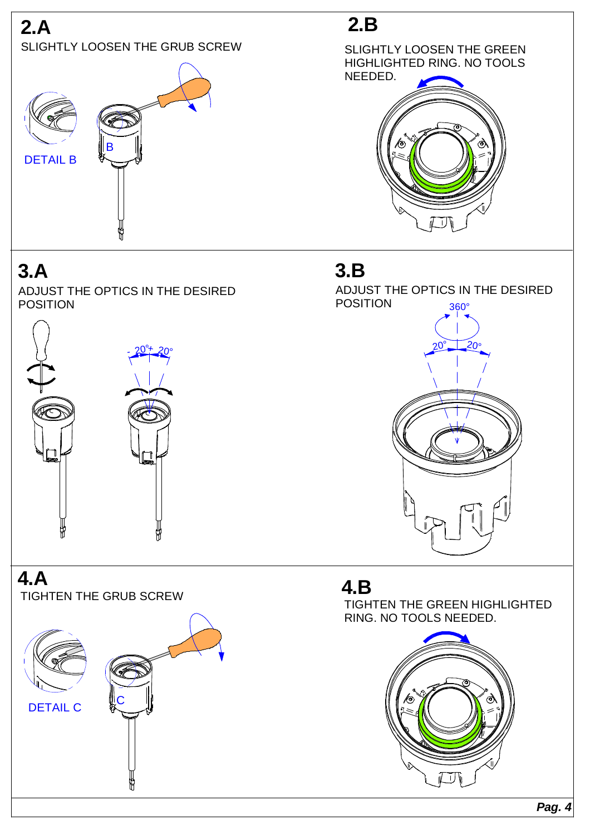## **2.A** SLIGHTLY LOOSEN THE GRUB SCREW



# **3.A**

ADJUST THE OPTICS IN THE DESIRED POSITION



## **4.A** TIGHTEN THE GRUB SCREW



# **2.B**





## **3.B**

360° ADJUST THE OPTICS IN THE DESIRED POSITION



## **4.B**

TIGHTEN THE GREEN HIGHLIGHTED RING. NO TOOLS NEEDED.



**Pag. 4**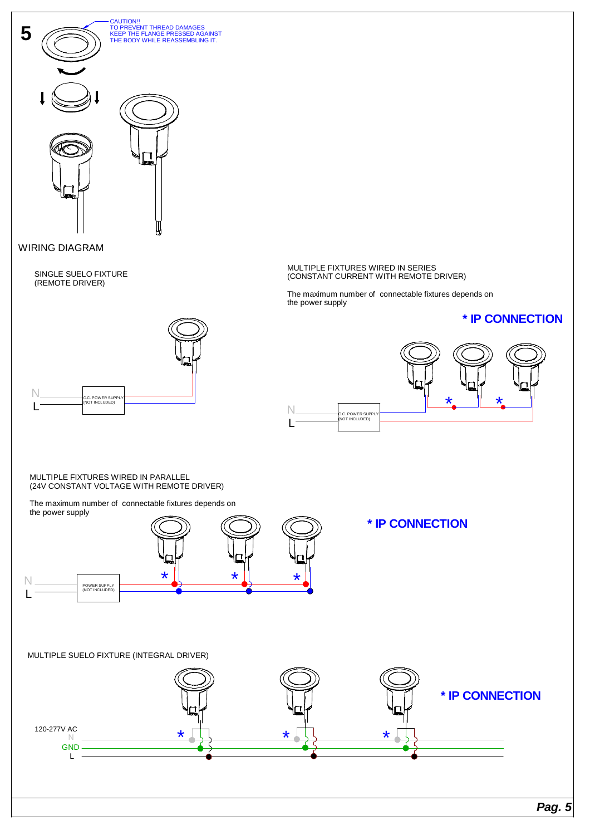